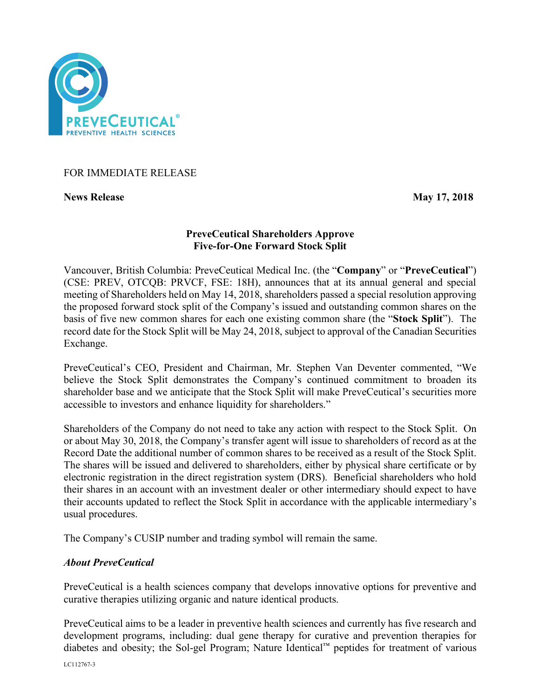

## FOR IMMEDIATE RELEASE

**News Release May 17, 2018**

# **PreveCeutical Shareholders Approve Five-for-One Forward Stock Split**

Vancouver, British Columbia: PreveCeutical Medical Inc. (the "**Company**" or "**PreveCeutical**") (CSE: PREV, OTCQB: PRVCF, FSE: 18H), announces that at its annual general and special meeting of Shareholders held on May 14, 2018, shareholders passed a special resolution approving the proposed forward stock split of the Company's issued and outstanding common shares on the basis of five new common shares for each one existing common share (the "**Stock Split**"). The record date for the Stock Split will be May 24, 2018, subject to approval of the Canadian Securities Exchange.

PreveCeutical's CEO, President and Chairman, Mr. Stephen Van Deventer commented, "We believe the Stock Split demonstrates the Company's continued commitment to broaden its shareholder base and we anticipate that the Stock Split will make PreveCeutical's securities more accessible to investors and enhance liquidity for shareholders."

Shareholders of the Company do not need to take any action with respect to the Stock Split. On or about May 30, 2018, the Company's transfer agent will issue to shareholders of record as at the Record Date the additional number of common shares to be received as a result of the Stock Split. The shares will be issued and delivered to shareholders, either by physical share certificate or by electronic registration in the direct registration system (DRS). Beneficial shareholders who hold their shares in an account with an investment dealer or other intermediary should expect to have their accounts updated to reflect the Stock Split in accordance with the applicable intermediary's usual procedures.

The Company's CUSIP number and trading symbol will remain the same.

## *About PreveCeutical*

PreveCeutical is a health sciences company that develops innovative options for preventive and curative therapies utilizing organic and nature identical products.

PreveCeutical aims to be a leader in preventive health sciences and currently has five research and development programs, including: dual gene therapy for curative and prevention therapies for diabetes and obesity; the Sol-gel Program; Nature Identical™ peptides for treatment of various